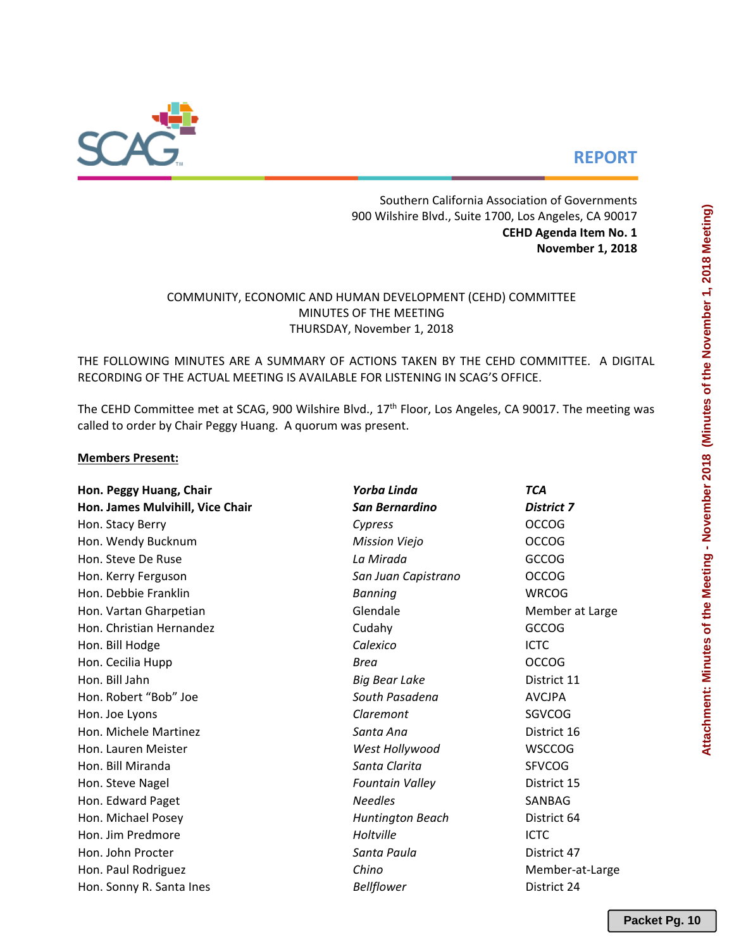

# **REPORT**

Southern California Association of Governments 900 Wilshire Blvd., Suite 1700, Los Angeles, CA 90017 **CEHD Agenda Item No. 1 November 1, 2018**

# COMMUNITY, ECONOMIC AND HUMAN DEVELOPMENT (CEHD) COMMITTEE MINUTES OF THE MEETING THURSDAY, November 1, 2018

THE FOLLOWING MINUTES ARE A SUMMARY OF ACTIONS TAKEN BY THE CEHD COMMITTEE. A DIGITAL RECORDING OF THE ACTUAL MEETING IS AVAILABLE FOR LISTENING IN SCAG'S OFFICE.

The CEHD Committee met at SCAG, 900 Wilshire Blvd., 17<sup>th</sup> Floor, Los Angeles, CA 90017. The meeting was called to order by Chair Peggy Huang. A quorum was present.

### **Members Present:**

| Hon. Peggy Huang, Chair          | Yorba Linda             | <b>TCA</b>        |  |  |  |  |
|----------------------------------|-------------------------|-------------------|--|--|--|--|
| Hon. James Mulvihill, Vice Chair | San Bernardino          | <b>District 7</b> |  |  |  |  |
| Hon. Stacy Berry                 | Cypress                 | <b>OCCOG</b>      |  |  |  |  |
| Hon. Wendy Bucknum               | <b>Mission Viejo</b>    | <b>OCCOG</b>      |  |  |  |  |
| Hon. Steve De Ruse               | La Mirada               | GCCOG             |  |  |  |  |
| Hon. Kerry Ferguson              | San Juan Capistrano     | <b>OCCOG</b>      |  |  |  |  |
| Hon. Debbie Franklin             | <b>Banning</b>          | <b>WRCOG</b>      |  |  |  |  |
| Hon. Vartan Gharpetian           | Glendale                | Member at Large   |  |  |  |  |
| Hon. Christian Hernandez         | Cudahy                  | <b>GCCOG</b>      |  |  |  |  |
| Hon. Bill Hodge                  | Calexico                | <b>ICTC</b>       |  |  |  |  |
| Hon. Cecilia Hupp                | <b>Brea</b>             | <b>OCCOG</b>      |  |  |  |  |
| Hon. Bill Jahn                   | <b>Big Bear Lake</b>    | District 11       |  |  |  |  |
| Hon. Robert "Bob" Joe            | South Pasadena          | <b>AVCJPA</b>     |  |  |  |  |
| Hon. Joe Lyons                   | Claremont               | SGVCOG            |  |  |  |  |
| Hon. Michele Martinez            | Santa Ana               | District 16       |  |  |  |  |
| Hon. Lauren Meister              | West Hollywood          | <b>WSCCOG</b>     |  |  |  |  |
| Hon. Bill Miranda                | Santa Clarita           | <b>SFVCOG</b>     |  |  |  |  |
| Hon. Steve Nagel                 | <b>Fountain Valley</b>  | District 15       |  |  |  |  |
| Hon. Edward Paget                | <b>Needles</b>          | SANBAG            |  |  |  |  |
| Hon. Michael Posey               | <b>Huntington Beach</b> | District 64       |  |  |  |  |
| Hon. Jim Predmore                | Holtville               | <b>ICTC</b>       |  |  |  |  |
| Hon. John Procter                | Santa Paula             | District 47       |  |  |  |  |
| Hon. Paul Rodriguez              | Chino                   | Member-at-Large   |  |  |  |  |
| Hon. Sonny R. Santa Ines         | <b>Bellflower</b>       | District 24       |  |  |  |  |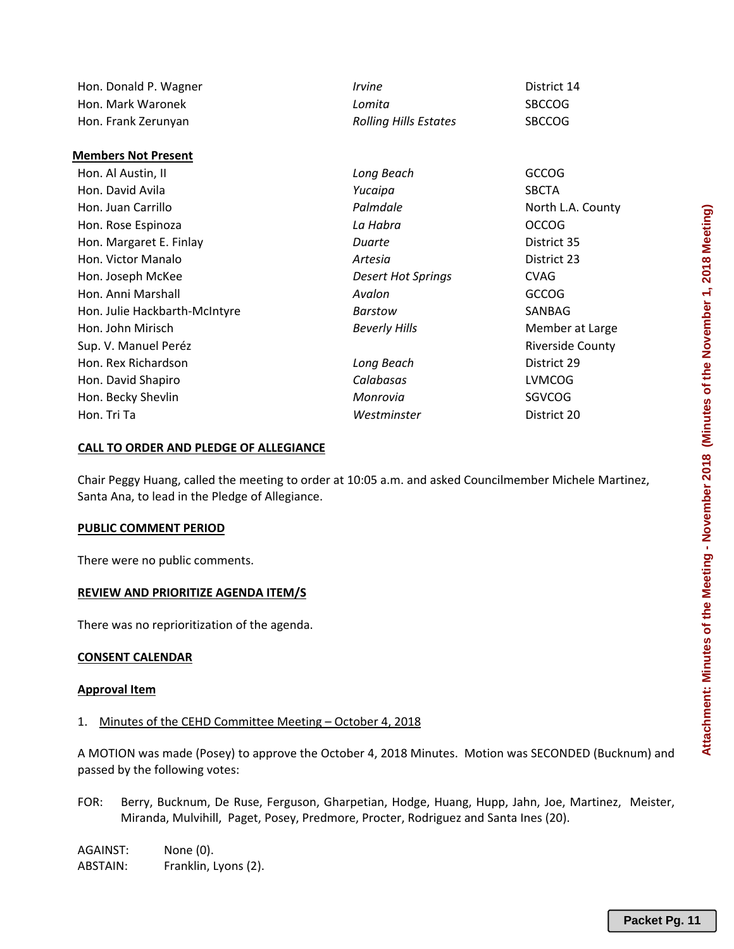| Hon. Donald P. Wagner         | <i><u><b>Irvine</b></u></i>  | District 14             |  |  |  |  |
|-------------------------------|------------------------------|-------------------------|--|--|--|--|
| Hon. Mark Waronek             | Lomita                       | <b>SBCCOG</b>           |  |  |  |  |
| Hon. Frank Zerunyan           | <b>Rolling Hills Estates</b> | <b>SBCCOG</b>           |  |  |  |  |
|                               |                              |                         |  |  |  |  |
| <b>Members Not Present</b>    |                              |                         |  |  |  |  |
| Hon. Al Austin, II            | Long Beach                   | <b>GCCOG</b>            |  |  |  |  |
| Hon. David Avila              | Yucaipa                      | <b>SBCTA</b>            |  |  |  |  |
| Hon. Juan Carrillo            | Palmdale                     | North L.A. County       |  |  |  |  |
| Hon. Rose Espinoza            | La Habra                     | <b>OCCOG</b>            |  |  |  |  |
| Hon. Margaret E. Finlay       | Duarte                       | District 35             |  |  |  |  |
| Hon. Victor Manalo            | Artesia                      | District 23             |  |  |  |  |
| Hon. Joseph McKee             | <b>Desert Hot Springs</b>    | <b>CVAG</b>             |  |  |  |  |
| Hon. Anni Marshall            | Avalon                       | <b>GCCOG</b>            |  |  |  |  |
| Hon. Julie Hackbarth-McIntyre | Barstow                      | SANBAG                  |  |  |  |  |
| Hon. John Mirisch             | <b>Beverly Hills</b>         | Member at Large         |  |  |  |  |
| Sup. V. Manuel Peréz          |                              | <b>Riverside County</b> |  |  |  |  |
| Hon. Rex Richardson           | Long Beach                   | District 29             |  |  |  |  |
| Hon. David Shapiro            | Calabasas                    | <b>LVMCOG</b>           |  |  |  |  |
| Hon. Becky Shevlin            | Monrovia                     | SGVCOG                  |  |  |  |  |
| Hon. Tri Ta                   | Westminster                  | District 20             |  |  |  |  |

### **CALL TO ORDER AND PLEDGE OF ALLEGIANCE**

Chair Peggy Huang, called the meeting to order at 10:05 a.m. and asked Councilmember Michele Martinez, Santa Ana, to lead in the Pledge of Allegiance.

#### **PUBLIC COMMENT PERIOD**

There were no public comments.

#### **REVIEW AND PRIORITIZE AGENDA ITEM/S**

There was no reprioritization of the agenda.

#### **CONSENT CALENDAR**

#### **Approval Item**

#### 1. Minutes of the CEHD Committee Meeting – October 4, 2018

A MOTION was made (Posey) to approve the October 4, 2018 Minutes. Motion was SECONDED (Bucknum) and passed by the following votes:

FOR: Berry, Bucknum, De Ruse, Ferguson, Gharpetian, Hodge, Huang, Hupp, Jahn, Joe, Martinez, Meister, Miranda, Mulvihill, Paget, Posey, Predmore, Procter, Rodriguez and Santa Ines (20).

AGAINST: None (0). ABSTAIN: Franklin, Lyons (2).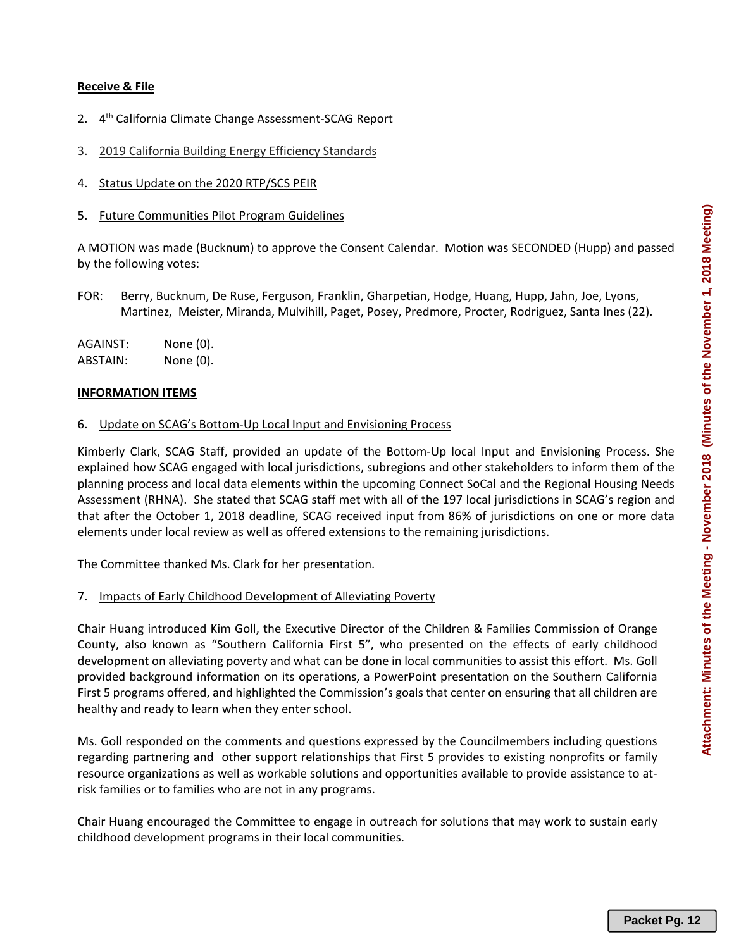## **Receive & File**

- 2. 4<sup>th</sup> California Climate Change Assessment-SCAG Report
- 3. 2019 California Building Energy Efficiency Standards
- 4. Status Update on the 2020 RTP/SCS PEIR
- 5. Future Communities Pilot Program Guidelines

A MOTION was made (Bucknum) to approve the Consent Calendar. Motion was SECONDED (Hupp) and passed by the following votes:

FOR: Berry, Bucknum, De Ruse, Ferguson, Franklin, Gharpetian, Hodge, Huang, Hupp, Jahn, Joe, Lyons, Martinez, Meister, Miranda, Mulvihill, Paget, Posey, Predmore, Procter, Rodriguez, Santa Ines (22).

AGAINST: None (0). ABSTAIN: None (0).

#### **INFORMATION ITEMS**

#### 6. Update on SCAG's Bottom‐Up Local Input and Envisioning Process

Kimberly Clark, SCAG Staff, provided an update of the Bottom‐Up local Input and Envisioning Process. She explained how SCAG engaged with local jurisdictions, subregions and other stakeholders to inform them of the planning process and local data elements within the upcoming Connect SoCal and the Regional Housing Needs Assessment (RHNA). She stated that SCAG staff met with all of the 197 local jurisdictions in SCAG's region and that after the October 1, 2018 deadline, SCAG received input from 86% of jurisdictions on one or more data elements under local review as well as offered extensions to the remaining jurisdictions.

The Committee thanked Ms. Clark for her presentation.

#### 7. Impacts of Early Childhood Development of Alleviating Poverty

Chair Huang introduced Kim Goll, the Executive Director of the Children & Families Commission of Orange County, also known as "Southern California First 5", who presented on the effects of early childhood development on alleviating poverty and what can be done in local communities to assist this effort. Ms. Goll provided background information on its operations, a PowerPoint presentation on the Southern California First 5 programs offered, and highlighted the Commission's goals that center on ensuring that all children are healthy and ready to learn when they enter school.

Ms. Goll responded on the comments and questions expressed by the Councilmembers including questions regarding partnering and other support relationships that First 5 provides to existing nonprofits or family resource organizations as well as workable solutions and opportunities available to provide assistance to at‐ risk families or to families who are not in any programs.

Chair Huang encouraged the Committee to engage in outreach for solutions that may work to sustain early childhood development programs in their local communities.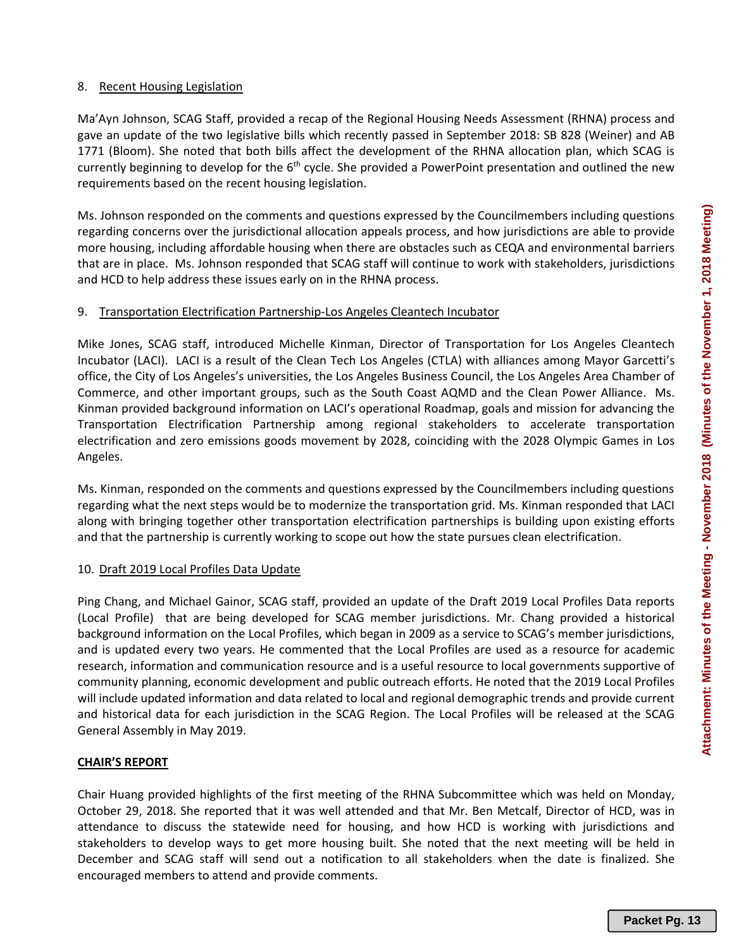## 8. Recent Housing Legislation

Ma'Ayn Johnson, SCAG Staff, provided a recap of the Regional Housing Needs Assessment (RHNA) process and gave an update of the two legislative bills which recently passed in September 2018: SB 828 (Weiner) and AB 1771 (Bloom). She noted that both bills affect the development of the RHNA allocation plan, which SCAG is currently beginning to develop for the 6<sup>th</sup> cycle. She provided a PowerPoint presentation and outlined the new requirements based on the recent housing legislation.

Ms. Johnson responded on the comments and questions expressed by the Councilmembers including questions regarding concerns over the jurisdictional allocation appeals process, and how jurisdictions are able to provide more housing, including affordable housing when there are obstacles such as CEQA and environmental barriers that are in place. Ms. Johnson responded that SCAG staff will continue to work with stakeholders, jurisdictions and HCD to help address these issues early on in the RHNA process.

### 9. Transportation Electrification Partnership‐Los Angeles Cleantech Incubator

Mike Jones, SCAG staff, introduced Michelle Kinman, Director of Transportation for Los Angeles Cleantech Incubator (LACI). LACI is a result of the Clean Tech Los Angeles (CTLA) with alliances among Mayor Garcetti's office, the City of Los Angeles's universities, the Los Angeles Business Council, the Los Angeles Area Chamber of Commerce, and other important groups, such as the South Coast AQMD and the Clean Power Alliance. Ms. Kinman provided background information on LACI's operational Roadmap, goals and mission for advancing the Transportation Electrification Partnership among regional stakeholders to accelerate transportation electrification and zero emissions goods movement by 2028, coinciding with the 2028 Olympic Games in Los Angeles.

Ms. Kinman, responded on the comments and questions expressed by the Councilmembers including questions regarding what the next steps would be to modernize the transportation grid. Ms. Kinman responded that LACI along with bringing together other transportation electrification partnerships is building upon existing efforts and that the partnership is currently working to scope out how the state pursues clean electrification.

#### 10. Draft 2019 Local Profiles Data Update

Ping Chang, and Michael Gainor, SCAG staff, provided an update of the Draft 2019 Local Profiles Data reports (Local Profile) that are being developed for SCAG member jurisdictions. Mr. Chang provided a historical background information on the Local Profiles, which began in 2009 as a service to SCAG's member jurisdictions, and is updated every two years. He commented that the Local Profiles are used as a resource for academic research, information and communication resource and is a useful resource to local governments supportive of community planning, economic development and public outreach efforts. He noted that the 2019 Local Profiles will include updated information and data related to local and regional demographic trends and provide current and historical data for each jurisdiction in the SCAG Region. The Local Profiles will be released at the SCAG General Assembly in May 2019.

# **CHAIR'S REPORT**

Chair Huang provided highlights of the first meeting of the RHNA Subcommittee which was held on Monday, October 29, 2018. She reported that it was well attended and that Mr. Ben Metcalf, Director of HCD, was in attendance to discuss the statewide need for housing, and how HCD is working with jurisdictions and stakeholders to develop ways to get more housing built. She noted that the next meeting will be held in December and SCAG staff will send out a notification to all stakeholders when the date is finalized. She encouraged members to attend and provide comments.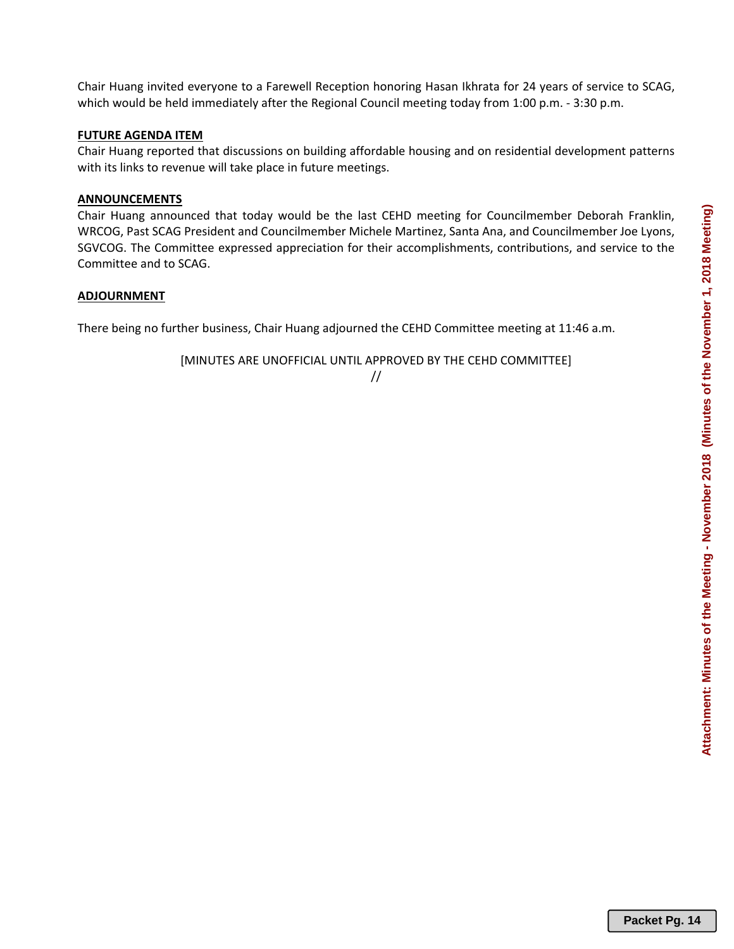Chair Huang invited everyone to a Farewell Reception honoring Hasan Ikhrata for 24 years of service to SCAG, which would be held immediately after the Regional Council meeting today from 1:00 p.m. - 3:30 p.m.

# **FUTURE AGENDA ITEM**

Chair Huang reported that discussions on building affordable housing and on residential development patterns with its links to revenue will take place in future meetings.

# **ANNOUNCEMENTS**

Chair Huang announced that today would be the last CEHD meeting for Councilmember Deborah Franklin, WRCOG, Past SCAG President and Councilmember Michele Martinez, Santa Ana, and Councilmember Joe Lyons, SGVCOG. The Committee expressed appreciation for their accomplishments, contributions, and service to the Committee and to SCAG.

# **ADJOURNMENT**

There being no further business, Chair Huang adjourned the CEHD Committee meeting at 11:46 a.m.

[MINUTES ARE UNOFFICIAL UNTIL APPROVED BY THE CEHD COMMITTEE]